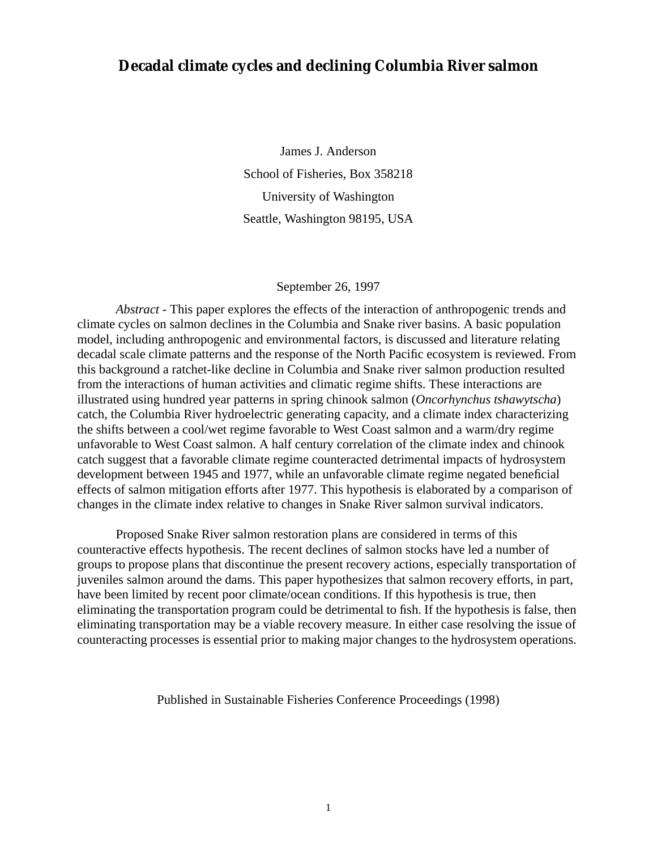# **Decadal climate cycles and declining Columbia River salmon**

James J. Anderson School of Fisheries, Box 358218 University of Washington Seattle, Washington 98195, USA

#### September 26, 1997

*Abstract* - This paper explores the effects of the interaction of anthropogenic trends and climate cycles on salmon declines in the Columbia and Snake river basins. A basic population model, including anthropogenic and environmental factors, is discussed and literature relating decadal scale climate patterns and the response of the North Pacific ecosystem is reviewed. From this background a ratchet-like decline in Columbia and Snake river salmon production resulted from the interactions of human activities and climatic regime shifts. These interactions are illustrated using hundred year patterns in spring chinook salmon (*Oncorhynchus tshawytscha*) catch, the Columbia River hydroelectric generating capacity, and a climate index characterizing the shifts between a cool/wet regime favorable to West Coast salmon and a warm/dry regime unfavorable to West Coast salmon. A half century correlation of the climate index and chinook catch suggest that a favorable climate regime counteracted detrimental impacts of hydrosystem development between 1945 and 1977, while an unfavorable climate regime negated beneficial effects of salmon mitigation efforts after 1977. This hypothesis is elaborated by a comparison of changes in the climate index relative to changes in Snake River salmon survival indicators.

Proposed Snake River salmon restoration plans are considered in terms of this counteractive effects hypothesis. The recent declines of salmon stocks have led a number of groups to propose plans that discontinue the present recovery actions, especially transportation of juveniles salmon around the dams. This paper hypothesizes that salmon recovery efforts, in part, have been limited by recent poor climate/ocean conditions. If this hypothesis is true, then eliminating the transportation program could be detrimental to fish. If the hypothesis is false, then eliminating transportation may be a viable recovery measure. In either case resolving the issue of counteracting processes is essential prior to making major changes to the hydrosystem operations.

Published in Sustainable Fisheries Conference Proceedings (1998)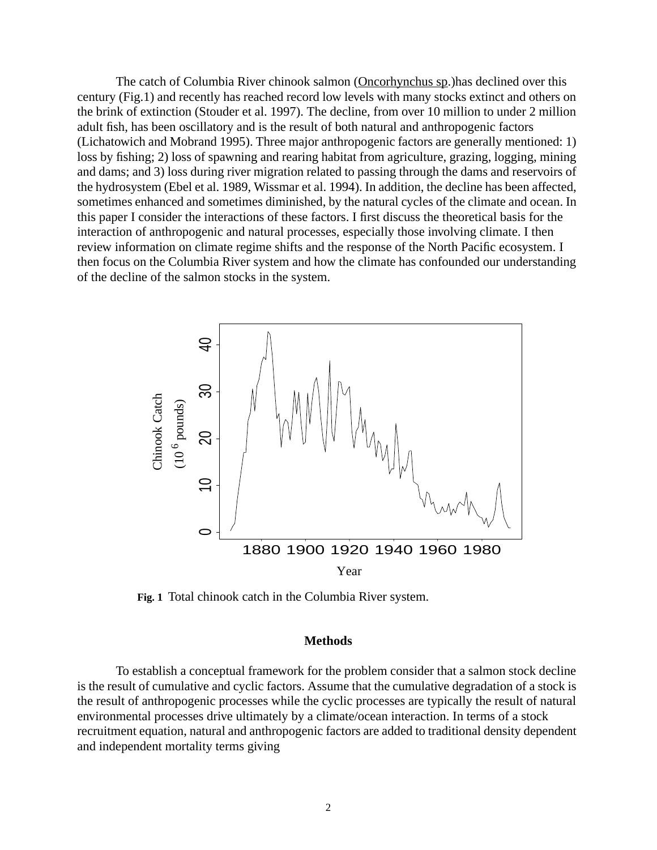The catch of Columbia River chinook salmon (Oncorhynchus sp.)has declined over this century (Fig.1) and recently has reached record low levels with many stocks extinct and others on the brink of extinction (Stouder et al. 1997). The decline, from over 10 million to under 2 million adult fish, has been oscillatory and is the result of both natural and anthropogenic factors (Lichatowich and Mobrand 1995). Three major anthropogenic factors are generally mentioned: 1) loss by fishing; 2) loss of spawning and rearing habitat from agriculture, grazing, logging, mining and dams; and 3) loss during river migration related to passing through the dams and reservoirs of the hydrosystem (Ebel et al. 1989, Wissmar et al. 1994). In addition, the decline has been affected, sometimes enhanced and sometimes diminished, by the natural cycles of the climate and ocean. In this paper I consider the interactions of these factors. I first discuss the theoretical basis for the interaction of anthropogenic and natural processes, especially those involving climate. I then review information on climate regime shifts and the response of the North Pacific ecosystem. I then focus on the Columbia River system and how the climate has confounded our understanding of the decline of the salmon stocks in the system.



**Fig. 1** Total chinook catch in the Columbia River system.

#### **Methods**

To establish a conceptual framework for the problem consider that a salmon stock decline is the result of cumulative and cyclic factors. Assume that the cumulative degradation of a stock is the result of anthropogenic processes while the cyclic processes are typically the result of natural environmental processes drive ultimately by a climate/ocean interaction. In terms of a stock recruitment equation, natural and anthropogenic factors are added to traditional density dependent and independent mortality terms giving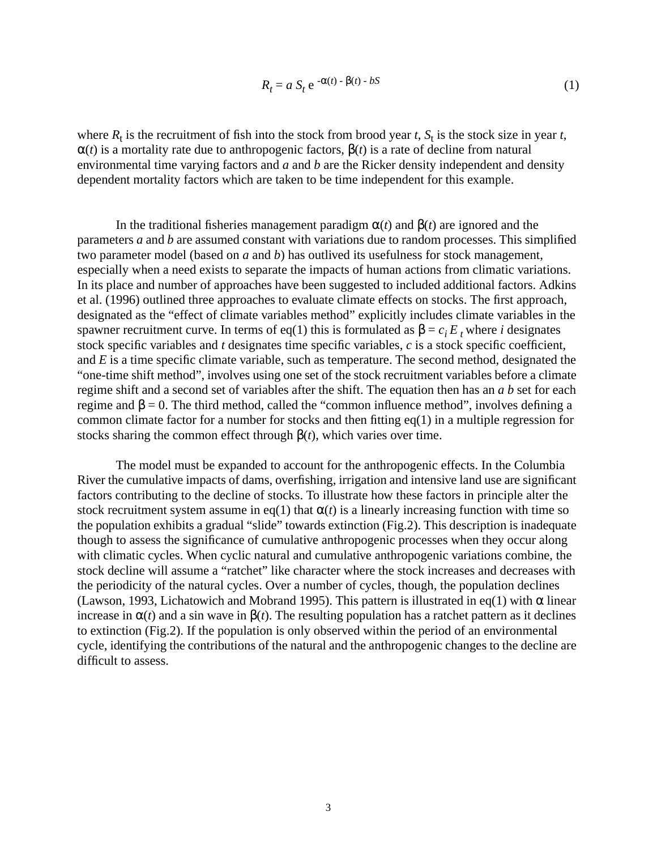$$
R_t = a S_t e^{-\alpha(t) - \beta(t) - bS}
$$
 (1)

where  $R_t$  is the recruitment of fish into the stock from brood year *t*,  $S_t$  is the stock size in year *t*,  $\alpha(t)$  is a mortality rate due to anthropogenic factors,  $\beta(t)$  is a rate of decline from natural environmental time varying factors and *a* and *b* are the Ricker density independent and density dependent mortality factors which are taken to be time independent for this example.

In the traditional fisheries management paradigm  $\alpha(t)$  and  $\beta(t)$  are ignored and the parameters *a* and *b* are assumed constant with variations due to random processes. This simplified two parameter model (based on *a* and *b*) has outlived its usefulness for stock management, especially when a need exists to separate the impacts of human actions from climatic variations. In its place and number of approaches have been suggested to included additional factors. Adkins et al. (1996) outlined three approaches to evaluate climate effects on stocks. The first approach, designated as the "effect of climate variables method" explicitly includes climate variables in the spawner recruitment curve. In terms of eq(1) this is formulated as  $\beta = c_i E_t$  where *i* designates stock specific variables and *t* designates time specific variables, *c* is a stock specific coefficient, and *E* is a time specific climate variable, such as temperature. The second method, designated the "one-time shift method", involves using one set of the stock recruitment variables before a climate regime shift and a second set of variables after the shift. The equation then has an *a b* set for each regime and  $\beta = 0$ . The third method, called the "common influence method", involves defining a common climate factor for a number for stocks and then fitting  $eq(1)$  in a multiple regression for stocks sharing the common effect through  $\beta(t)$ , which varies over time.

The model must be expanded to account for the anthropogenic effects. In the Columbia River the cumulative impacts of dams, overfishing, irrigation and intensive land use are significant factors contributing to the decline of stocks. To illustrate how these factors in principle alter the stock recruitment system assume in eq(1) that  $\alpha(t)$  is a linearly increasing function with time so the population exhibits a gradual "slide" towards extinction (Fig.2). This description is inadequate though to assess the significance of cumulative anthropogenic processes when they occur along with climatic cycles. When cyclic natural and cumulative anthropogenic variations combine, the stock decline will assume a "ratchet" like character where the stock increases and decreases with the periodicity of the natural cycles. Over a number of cycles, though, the population declines (Lawson, 1993, Lichatowich and Mobrand 1995). This pattern is illustrated in eq(1) with  $\alpha$  linear increase in  $\alpha(t)$  and a sin wave in  $\beta(t)$ . The resulting population has a ratchet pattern as it declines to extinction (Fig.2). If the population is only observed within the period of an environmental cycle, identifying the contributions of the natural and the anthropogenic changes to the decline are difficult to assess.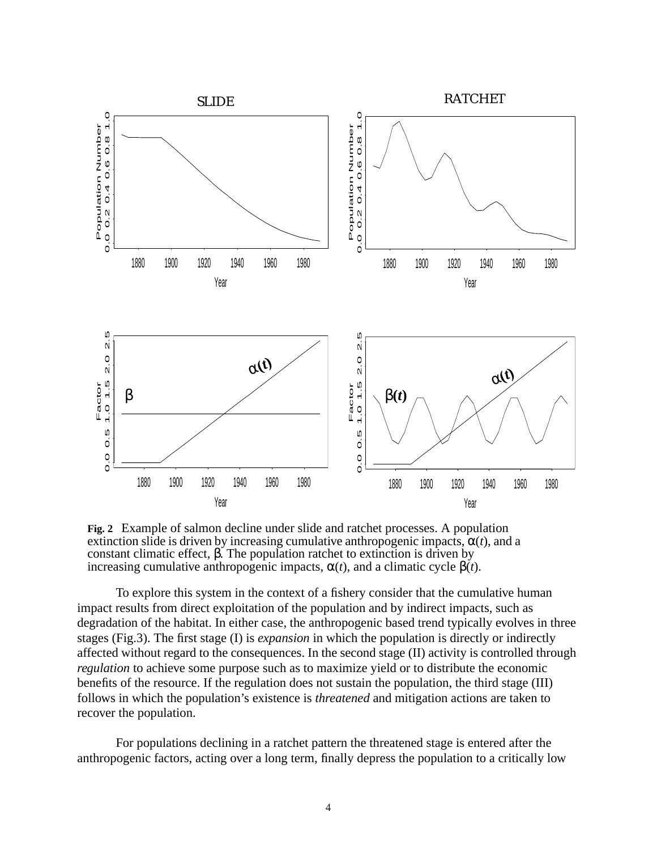

**Fig. 2** Example of salmon decline under slide and ratchet processes. A population extinction slide is driven by increasing cumulative anthropogenic impacts,  $\alpha(t)$ , and a constant climatic effect, β. The population ratchet to extinction is driven by increasing cumulative anthropogenic impacts, α(*t*), and a climatic cycle β(*t*).

To explore this system in the context of a fishery consider that the cumulative human impact results from direct exploitation of the population and by indirect impacts, such as degradation of the habitat. In either case, the anthropogenic based trend typically evolves in three stages (Fig.3). The first stage (I) is *expansion* in which the population is directly or indirectly affected without regard to the consequences. In the second stage (II) activity is controlled through *regulation* to achieve some purpose such as to maximize yield or to distribute the economic benefits of the resource. If the regulation does not sustain the population, the third stage (III) follows in which the population's existence is *threatened* and mitigation actions are taken to recover the population.

For populations declining in a ratchet pattern the threatened stage is entered after the anthropogenic factors, acting over a long term, finally depress the population to a critically low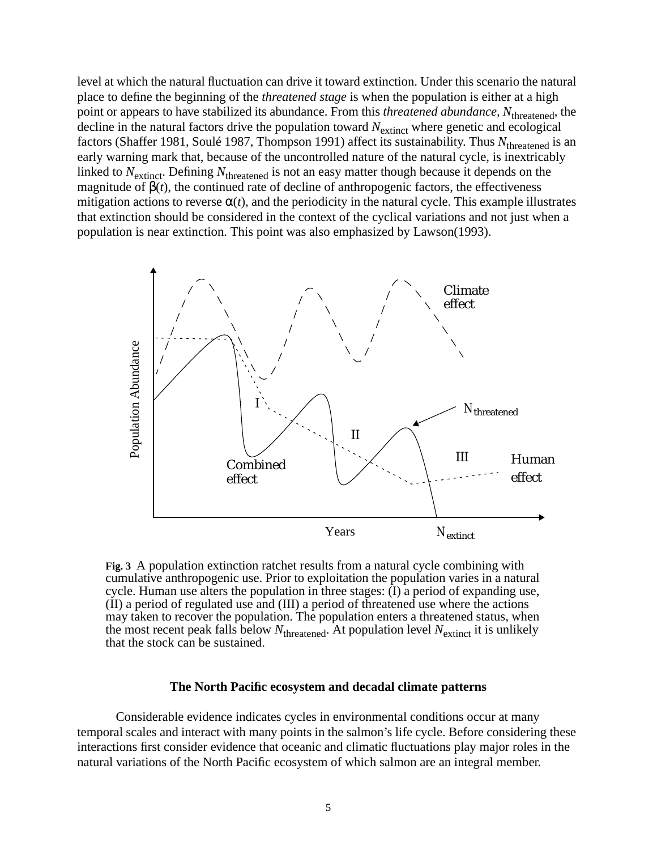level at which the natural fluctuation can drive it toward extinction. Under this scenario the natural place to define the beginning of the *threatened stage* is when the population is either at a high point or appears to have stabilized its abundance. From this *threatened abundance, N*threatened, the decline in the natural factors drive the population toward  $N_{\text{extinct}}$  where genetic and ecological factors (Shaffer 1981, Soulé 1987, Thompson 1991) affect its sustainability. Thus N<sub>threatened</sub> is an early warning mark that, because of the uncontrolled nature of the natural cycle, is inextricably linked to *N*extinct. Defining *N*threatened is not an easy matter though because it depends on the magnitude of  $\beta(t)$ , the continued rate of decline of anthropogenic factors, the effectiveness mitigation actions to reverse  $\alpha(t)$ , and the periodicity in the natural cycle. This example illustrates that extinction should be considered in the context of the cyclical variations and not just when a population is near extinction. This point was also emphasized by Lawson(1993).



**Fig. 3** A population extinction ratchet results from a natural cycle combining with cumulative anthropogenic use. Prior to exploitation the population varies in a natural cycle. Human use alters the population in three stages: (I) a period of expanding use, (II) a period of regulated use and (III) a period of threatened use where the actions may taken to recover the population. The population enters a threatened status, when the most recent peak falls below  $N_{\text{thread}}$ . At population level  $N_{\text{extinct}}$  it is unlikely that the stock can be sustained.

#### **The North Pacific ecosystem and decadal climate patterns**

Considerable evidence indicates cycles in environmental conditions occur at many temporal scales and interact with many points in the salmon's life cycle. Before considering these interactions first consider evidence that oceanic and climatic fluctuations play major roles in the natural variations of the North Pacific ecosystem of which salmon are an integral member.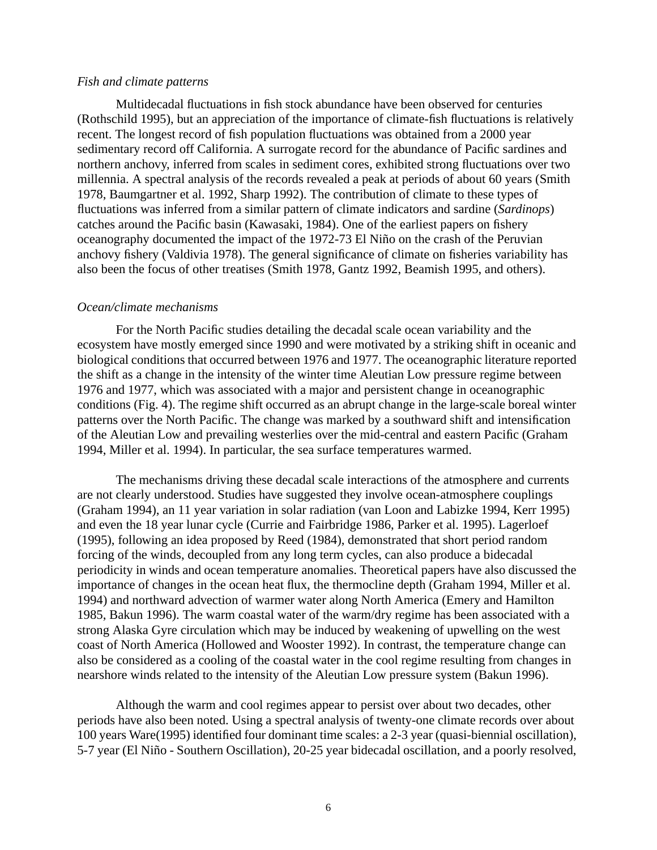#### *Fish and climate patterns*

Multidecadal fluctuations in fish stock abundance have been observed for centuries (Rothschild 1995), but an appreciation of the importance of climate-fish fluctuations is relatively recent. The longest record of fish population fluctuations was obtained from a 2000 year sedimentary record off California. A surrogate record for the abundance of Pacific sardines and northern anchovy, inferred from scales in sediment cores, exhibited strong fluctuations over two millennia. A spectral analysis of the records revealed a peak at periods of about 60 years (Smith 1978, Baumgartner et al. 1992, Sharp 1992). The contribution of climate to these types of fluctuations was inferred from a similar pattern of climate indicators and sardine (*Sardinops*) catches around the Pacific basin (Kawasaki, 1984). One of the earliest papers on fishery oceanography documented the impact of the 1972-73 El Niño on the crash of the Peruvian anchovy fishery (Valdivia 1978). The general significance of climate on fisheries variability has also been the focus of other treatises (Smith 1978, Gantz 1992, Beamish 1995, and others).

#### *Ocean/climate mechanisms*

For the North Pacific studies detailing the decadal scale ocean variability and the ecosystem have mostly emerged since 1990 and were motivated by a striking shift in oceanic and biological conditions that occurred between 1976 and 1977. The oceanographic literature reported the shift as a change in the intensity of the winter time Aleutian Low pressure regime between 1976 and 1977, which was associated with a major and persistent change in oceanographic conditions (Fig. 4). The regime shift occurred as an abrupt change in the large-scale boreal winter patterns over the North Pacific. The change was marked by a southward shift and intensification of the Aleutian Low and prevailing westerlies over the mid-central and eastern Pacific (Graham 1994, Miller et al. 1994). In particular, the sea surface temperatures warmed.

The mechanisms driving these decadal scale interactions of the atmosphere and currents are not clearly understood. Studies have suggested they involve ocean-atmosphere couplings (Graham 1994), an 11 year variation in solar radiation (van Loon and Labizke 1994, Kerr 1995) and even the 18 year lunar cycle (Currie and Fairbridge 1986, Parker et al. 1995). Lagerloef (1995), following an idea proposed by Reed (1984), demonstrated that short period random forcing of the winds, decoupled from any long term cycles, can also produce a bidecadal periodicity in winds and ocean temperature anomalies. Theoretical papers have also discussed the importance of changes in the ocean heat flux, the thermocline depth (Graham 1994, Miller et al. 1994) and northward advection of warmer water along North America (Emery and Hamilton 1985, Bakun 1996). The warm coastal water of the warm/dry regime has been associated with a strong Alaska Gyre circulation which may be induced by weakening of upwelling on the west coast of North America (Hollowed and Wooster 1992). In contrast, the temperature change can also be considered as a cooling of the coastal water in the cool regime resulting from changes in nearshore winds related to the intensity of the Aleutian Low pressure system (Bakun 1996).

Although the warm and cool regimes appear to persist over about two decades, other periods have also been noted. Using a spectral analysis of twenty-one climate records over about 100 years Ware(1995) identified four dominant time scales: a 2-3 year (quasi-biennial oscillation), 5-7 year (El Niño - Southern Oscillation), 20-25 year bidecadal oscillation, and a poorly resolved,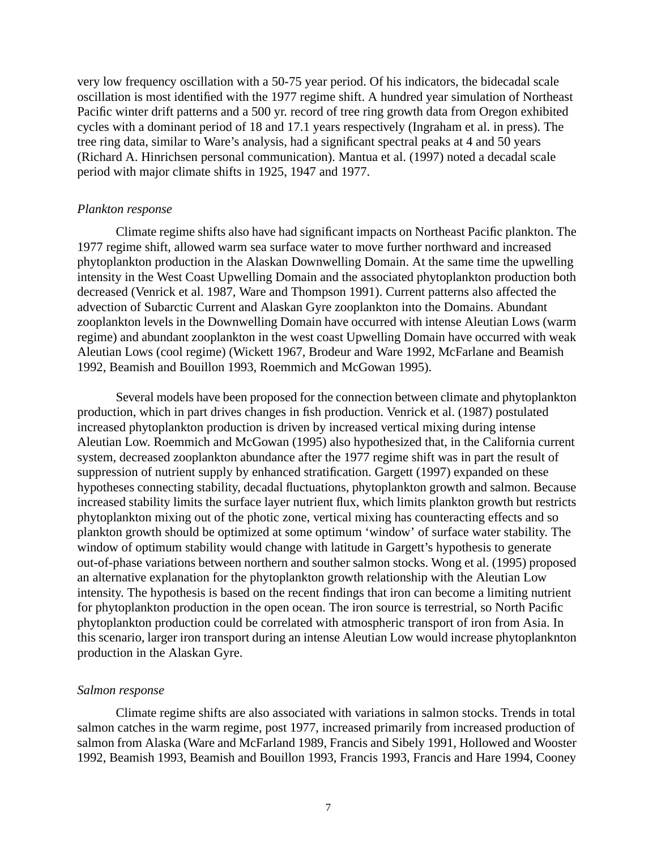very low frequency oscillation with a 50-75 year period. Of his indicators, the bidecadal scale oscillation is most identified with the 1977 regime shift. A hundred year simulation of Northeast Pacific winter drift patterns and a 500 yr. record of tree ring growth data from Oregon exhibited cycles with a dominant period of 18 and 17.1 years respectively (Ingraham et al. in press). The tree ring data, similar to Ware's analysis, had a significant spectral peaks at 4 and 50 years (Richard A. Hinrichsen personal communication). Mantua et al. (1997) noted a decadal scale period with major climate shifts in 1925, 1947 and 1977.

# *Plankton response*

Climate regime shifts also have had significant impacts on Northeast Pacific plankton. The 1977 regime shift, allowed warm sea surface water to move further northward and increased phytoplankton production in the Alaskan Downwelling Domain. At the same time the upwelling intensity in the West Coast Upwelling Domain and the associated phytoplankton production both decreased (Venrick et al. 1987, Ware and Thompson 1991). Current patterns also affected the advection of Subarctic Current and Alaskan Gyre zooplankton into the Domains. Abundant zooplankton levels in the Downwelling Domain have occurred with intense Aleutian Lows (warm regime) and abundant zooplankton in the west coast Upwelling Domain have occurred with weak Aleutian Lows (cool regime) (Wickett 1967, Brodeur and Ware 1992, McFarlane and Beamish 1992, Beamish and Bouillon 1993, Roemmich and McGowan 1995).

Several models have been proposed for the connection between climate and phytoplankton production, which in part drives changes in fish production. Venrick et al. (1987) postulated increased phytoplankton production is driven by increased vertical mixing during intense Aleutian Low. Roemmich and McGowan (1995) also hypothesized that, in the California current system, decreased zooplankton abundance after the 1977 regime shift was in part the result of suppression of nutrient supply by enhanced stratification. Gargett (1997) expanded on these hypotheses connecting stability, decadal fluctuations, phytoplankton growth and salmon. Because increased stability limits the surface layer nutrient flux, which limits plankton growth but restricts phytoplankton mixing out of the photic zone, vertical mixing has counteracting effects and so plankton growth should be optimized at some optimum 'window' of surface water stability. The window of optimum stability would change with latitude in Gargett's hypothesis to generate out-of-phase variations between northern and souther salmon stocks. Wong et al. (1995) proposed an alternative explanation for the phytoplankton growth relationship with the Aleutian Low intensity. The hypothesis is based on the recent findings that iron can become a limiting nutrient for phytoplankton production in the open ocean. The iron source is terrestrial, so North Pacific phytoplankton production could be correlated with atmospheric transport of iron from Asia. In this scenario, larger iron transport during an intense Aleutian Low would increase phytoplanknton production in the Alaskan Gyre.

# *Salmon response*

Climate regime shifts are also associated with variations in salmon stocks. Trends in total salmon catches in the warm regime, post 1977, increased primarily from increased production of salmon from Alaska (Ware and McFarland 1989, Francis and Sibely 1991, Hollowed and Wooster 1992, Beamish 1993, Beamish and Bouillon 1993, Francis 1993, Francis and Hare 1994, Cooney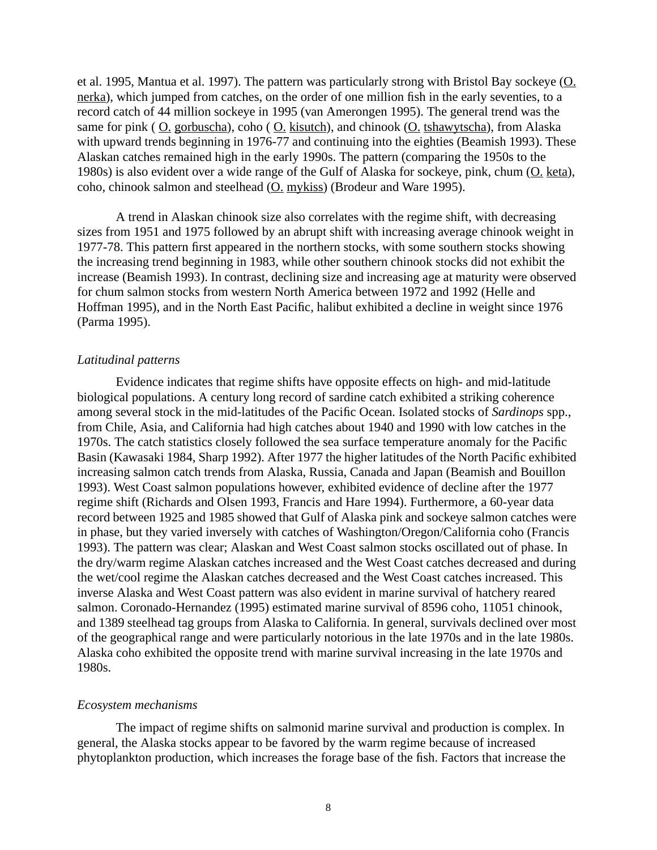et al. 1995, Mantua et al. 1997). The pattern was particularly strong with Bristol Bay sockeye (O. nerka), which jumped from catches, on the order of one million fish in the early seventies, to a record catch of 44 million sockeye in 1995 (van Amerongen 1995). The general trend was the same for pink ( O. gorbuscha), coho ( O. kisutch), and chinook (O. tshawytscha), from Alaska with upward trends beginning in 1976-77 and continuing into the eighties (Beamish 1993). These Alaskan catches remained high in the early 1990s. The pattern (comparing the 1950s to the 1980s) is also evident over a wide range of the Gulf of Alaska for sockeye, pink, chum (O. keta), coho, chinook salmon and steelhead (O. mykiss) (Brodeur and Ware 1995).

A trend in Alaskan chinook size also correlates with the regime shift, with decreasing sizes from 1951 and 1975 followed by an abrupt shift with increasing average chinook weight in 1977-78. This pattern first appeared in the northern stocks, with some southern stocks showing the increasing trend beginning in 1983, while other southern chinook stocks did not exhibit the increase (Beamish 1993). In contrast, declining size and increasing age at maturity were observed for chum salmon stocks from western North America between 1972 and 1992 (Helle and Hoffman 1995), and in the North East Pacific, halibut exhibited a decline in weight since 1976 (Parma 1995).

## *Latitudinal patterns*

Evidence indicates that regime shifts have opposite effects on high- and mid-latitude biological populations. A century long record of sardine catch exhibited a striking coherence among several stock in the mid-latitudes of the Pacific Ocean. Isolated stocks of *Sardinops* spp., from Chile, Asia, and California had high catches about 1940 and 1990 with low catches in the 1970s. The catch statistics closely followed the sea surface temperature anomaly for the Pacific Basin (Kawasaki 1984, Sharp 1992). After 1977 the higher latitudes of the North Pacific exhibited increasing salmon catch trends from Alaska, Russia, Canada and Japan (Beamish and Bouillon 1993). West Coast salmon populations however, exhibited evidence of decline after the 1977 regime shift (Richards and Olsen 1993, Francis and Hare 1994). Furthermore, a 60-year data record between 1925 and 1985 showed that Gulf of Alaska pink and sockeye salmon catches were in phase, but they varied inversely with catches of Washington/Oregon/California coho (Francis 1993). The pattern was clear; Alaskan and West Coast salmon stocks oscillated out of phase. In the dry/warm regime Alaskan catches increased and the West Coast catches decreased and during the wet/cool regime the Alaskan catches decreased and the West Coast catches increased. This inverse Alaska and West Coast pattern was also evident in marine survival of hatchery reared salmon. Coronado-Hernandez (1995) estimated marine survival of 8596 coho, 11051 chinook, and 1389 steelhead tag groups from Alaska to California. In general, survivals declined over most of the geographical range and were particularly notorious in the late 1970s and in the late 1980s. Alaska coho exhibited the opposite trend with marine survival increasing in the late 1970s and 1980s.

#### *Ecosystem mechanisms*

The impact of regime shifts on salmonid marine survival and production is complex. In general, the Alaska stocks appear to be favored by the warm regime because of increased phytoplankton production, which increases the forage base of the fish. Factors that increase the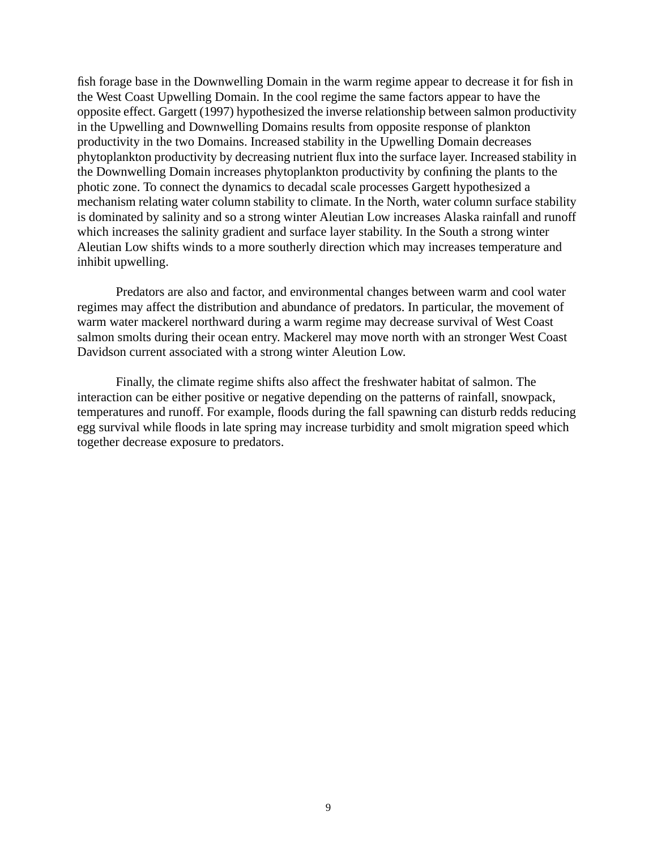fish forage base in the Downwelling Domain in the warm regime appear to decrease it for fish in the West Coast Upwelling Domain. In the cool regime the same factors appear to have the opposite effect. Gargett (1997) hypothesized the inverse relationship between salmon productivity in the Upwelling and Downwelling Domains results from opposite response of plankton productivity in the two Domains. Increased stability in the Upwelling Domain decreases phytoplankton productivity by decreasing nutrient flux into the surface layer. Increased stability in the Downwelling Domain increases phytoplankton productivity by confining the plants to the photic zone. To connect the dynamics to decadal scale processes Gargett hypothesized a mechanism relating water column stability to climate. In the North, water column surface stability is dominated by salinity and so a strong winter Aleutian Low increases Alaska rainfall and runoff which increases the salinity gradient and surface layer stability. In the South a strong winter Aleutian Low shifts winds to a more southerly direction which may increases temperature and inhibit upwelling.

Predators are also and factor, and environmental changes between warm and cool water regimes may affect the distribution and abundance of predators. In particular, the movement of warm water mackerel northward during a warm regime may decrease survival of West Coast salmon smolts during their ocean entry. Mackerel may move north with an stronger West Coast Davidson current associated with a strong winter Aleution Low.

Finally, the climate regime shifts also affect the freshwater habitat of salmon. The interaction can be either positive or negative depending on the patterns of rainfall, snowpack, temperatures and runoff. For example, floods during the fall spawning can disturb redds reducing egg survival while floods in late spring may increase turbidity and smolt migration speed which together decrease exposure to predators.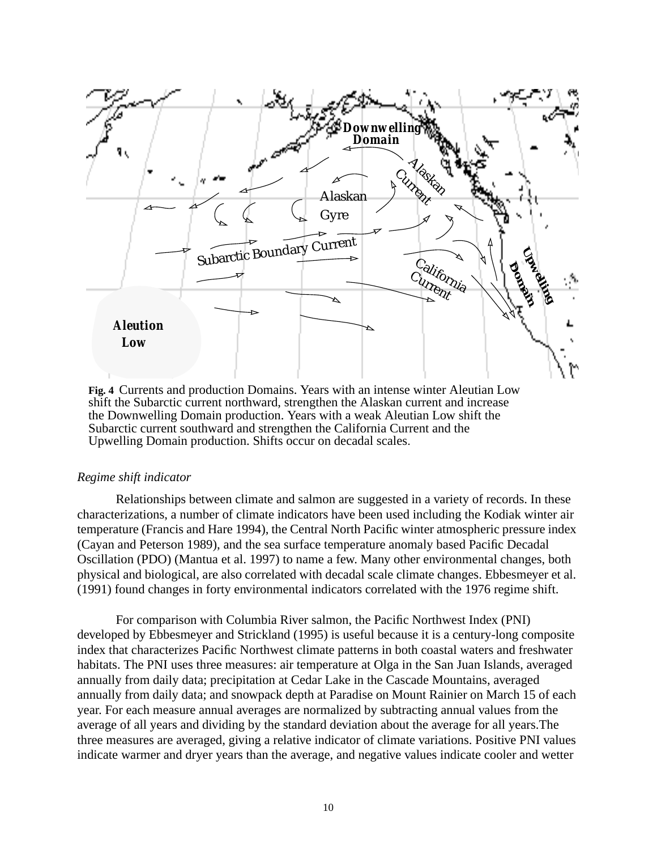

**Fig. 4** Currents and production Domains. Years with an intense winter Aleutian Low shift the Subarctic current northward, strengthen the Alaskan current and increase the Downwelling Domain production. Years with a weak Aleutian Low shift the Subarctic current southward and strengthen the California Current and the Upwelling Domain production. Shifts occur on decadal scales.

## *Regime shift indicator*

Relationships between climate and salmon are suggested in a variety of records. In these characterizations, a number of climate indicators have been used including the Kodiak winter air temperature (Francis and Hare 1994), the Central North Pacific winter atmospheric pressure index (Cayan and Peterson 1989), and the sea surface temperature anomaly based Pacific Decadal Oscillation (PDO) (Mantua et al. 1997) to name a few. Many other environmental changes, both physical and biological, are also correlated with decadal scale climate changes. Ebbesmeyer et al. (1991) found changes in forty environmental indicators correlated with the 1976 regime shift.

For comparison with Columbia River salmon, the Pacific Northwest Index (PNI) developed by Ebbesmeyer and Strickland (1995) is useful because it is a century-long composite index that characterizes Pacific Northwest climate patterns in both coastal waters and freshwater habitats. The PNI uses three measures: air temperature at Olga in the San Juan Islands, averaged annually from daily data; precipitation at Cedar Lake in the Cascade Mountains, averaged annually from daily data; and snowpack depth at Paradise on Mount Rainier on March 15 of each year. For each measure annual averages are normalized by subtracting annual values from the average of all years and dividing by the standard deviation about the average for all years.The three measures are averaged, giving a relative indicator of climate variations. Positive PNI values indicate warmer and dryer years than the average, and negative values indicate cooler and wetter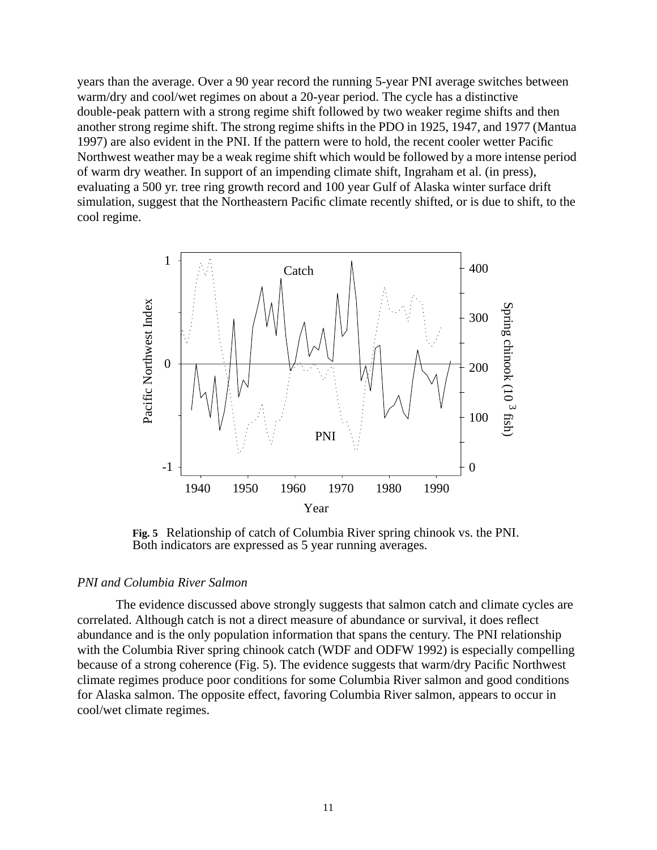years than the average. Over a 90 year record the running 5-year PNI average switches between warm/dry and cool/wet regimes on about a 20-year period. The cycle has a distinctive double-peak pattern with a strong regime shift followed by two weaker regime shifts and then another strong regime shift. The strong regime shifts in the PDO in 1925, 1947, and 1977 (Mantua 1997) are also evident in the PNI. If the pattern were to hold, the recent cooler wetter Pacific Northwest weather may be a weak regime shift which would be followed by a more intense period of warm dry weather. In support of an impending climate shift, Ingraham et al. (in press), evaluating a 500 yr. tree ring growth record and 100 year Gulf of Alaska winter surface drift simulation, suggest that the Northeastern Pacific climate recently shifted, or is due to shift, to the cool regime.



**Fig. 5** Relationship of catch of Columbia River spring chinook vs. the PNI. Both indicators are expressed as 5 year running averages.

## *PNI and Columbia River Salmon*

The evidence discussed above strongly suggests that salmon catch and climate cycles are correlated. Although catch is not a direct measure of abundance or survival, it does reflect abundance and is the only population information that spans the century. The PNI relationship with the Columbia River spring chinook catch (WDF and ODFW 1992) is especially compelling because of a strong coherence (Fig. 5). The evidence suggests that warm/dry Pacific Northwest climate regimes produce poor conditions for some Columbia River salmon and good conditions for Alaska salmon. The opposite effect, favoring Columbia River salmon, appears to occur in cool/wet climate regimes.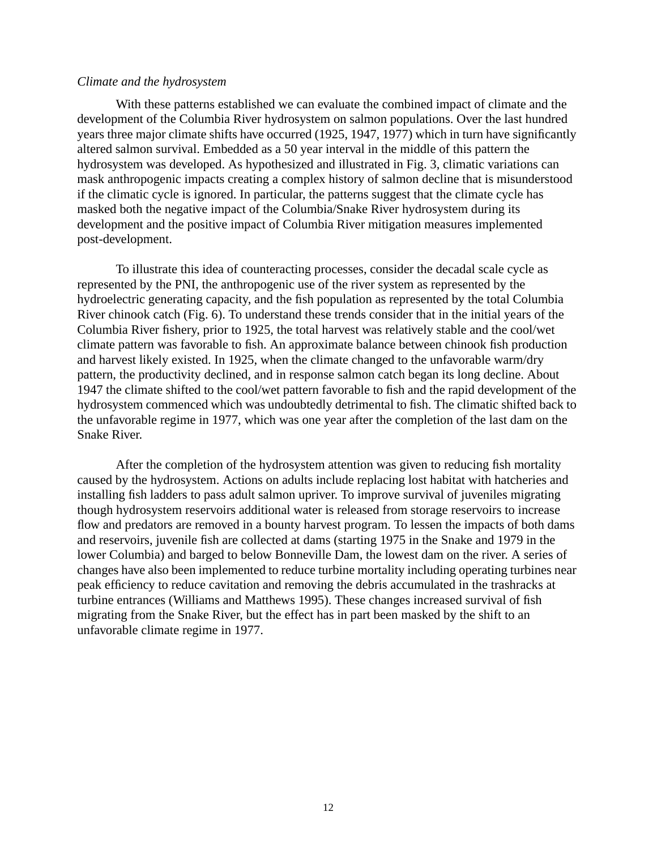## *Climate and the hydrosystem*

With these patterns established we can evaluate the combined impact of climate and the development of the Columbia River hydrosystem on salmon populations. Over the last hundred years three major climate shifts have occurred (1925, 1947, 1977) which in turn have significantly altered salmon survival. Embedded as a 50 year interval in the middle of this pattern the hydrosystem was developed. As hypothesized and illustrated in Fig. 3, climatic variations can mask anthropogenic impacts creating a complex history of salmon decline that is misunderstood if the climatic cycle is ignored. In particular, the patterns suggest that the climate cycle has masked both the negative impact of the Columbia/Snake River hydrosystem during its development and the positive impact of Columbia River mitigation measures implemented post-development.

To illustrate this idea of counteracting processes, consider the decadal scale cycle as represented by the PNI, the anthropogenic use of the river system as represented by the hydroelectric generating capacity, and the fish population as represented by the total Columbia River chinook catch (Fig. 6). To understand these trends consider that in the initial years of the Columbia River fishery, prior to 1925, the total harvest was relatively stable and the cool/wet climate pattern was favorable to fish. An approximate balance between chinook fish production and harvest likely existed. In 1925, when the climate changed to the unfavorable warm/dry pattern, the productivity declined, and in response salmon catch began its long decline. About 1947 the climate shifted to the cool/wet pattern favorable to fish and the rapid development of the hydrosystem commenced which was undoubtedly detrimental to fish. The climatic shifted back to the unfavorable regime in 1977, which was one year after the completion of the last dam on the Snake River.

After the completion of the hydrosystem attention was given to reducing fish mortality caused by the hydrosystem. Actions on adults include replacing lost habitat with hatcheries and installing fish ladders to pass adult salmon upriver. To improve survival of juveniles migrating though hydrosystem reservoirs additional water is released from storage reservoirs to increase flow and predators are removed in a bounty harvest program. To lessen the impacts of both dams and reservoirs, juvenile fish are collected at dams (starting 1975 in the Snake and 1979 in the lower Columbia) and barged to below Bonneville Dam, the lowest dam on the river. A series of changes have also been implemented to reduce turbine mortality including operating turbines near peak efficiency to reduce cavitation and removing the debris accumulated in the trashracks at turbine entrances (Williams and Matthews 1995). These changes increased survival of fish migrating from the Snake River, but the effect has in part been masked by the shift to an unfavorable climate regime in 1977.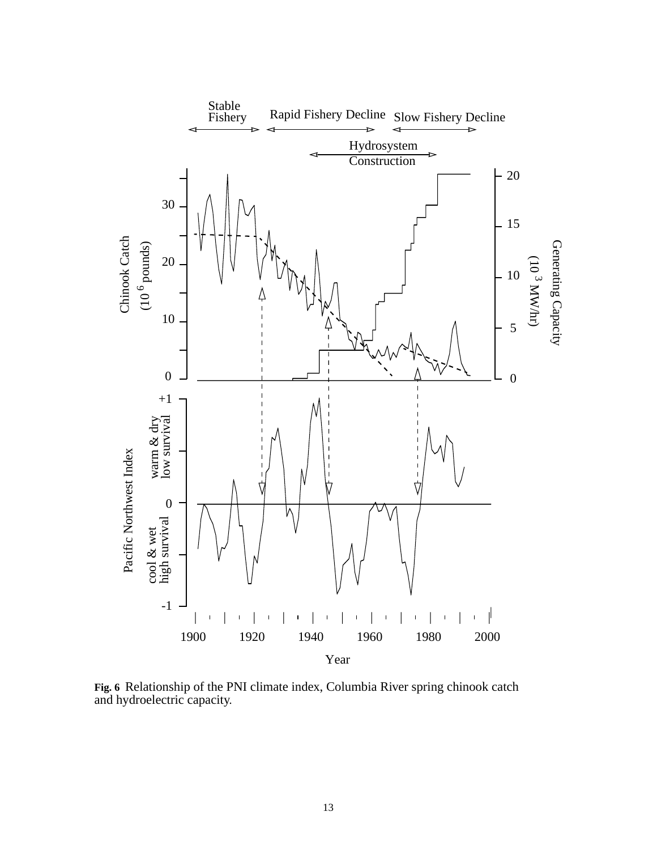

**Fig. 6** Relationship of the PNI climate index, Columbia River spring chinook catch and hydroelectric capacity.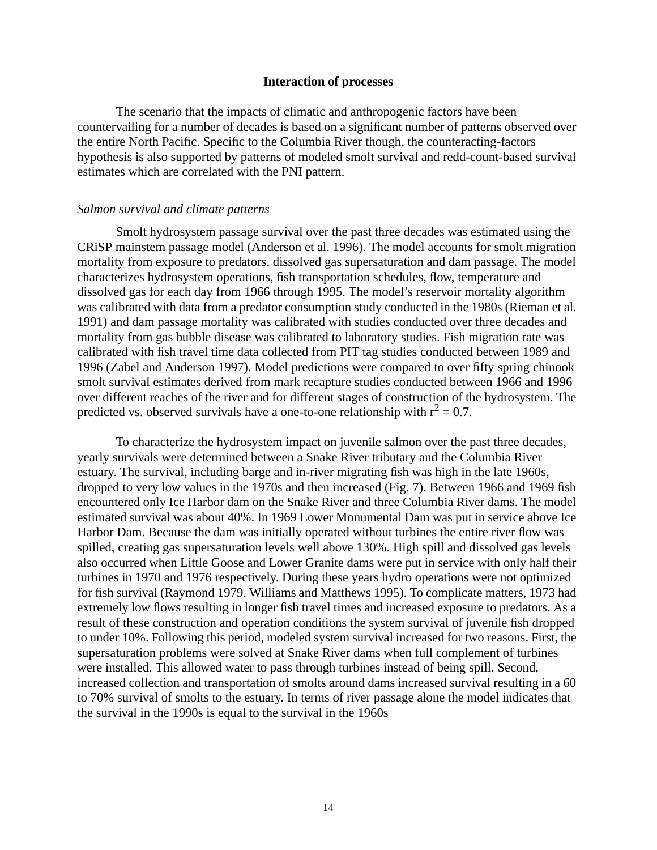## **Interaction of processes**

The scenario that the impacts of climatic and anthropogenic factors have been countervailing for a number of decades is based on a significant number of patterns observed over the entire North Pacific. Specific to the Columbia River though, the counteracting-factors hypothesis is also supported by patterns of modeled smolt survival and redd-count-based survival estimates which are correlated with the PNI pattern.

#### *Salmon survival and climate patterns*

Smolt hydrosystem passage survival over the past three decades was estimated using the CRiSP mainstem passage model (Anderson et al. 1996). The model accounts for smolt migration mortality from exposure to predators, dissolved gas supersaturation and dam passage. The model characterizes hydrosystem operations, fish transportation schedules, flow, temperature and dissolved gas for each day from 1966 through 1995. The model's reservoir mortality algorithm was calibrated with data from a predator consumption study conducted in the 1980s (Rieman et al. 1991) and dam passage mortality was calibrated with studies conducted over three decades and mortality from gas bubble disease was calibrated to laboratory studies. Fish migration rate was calibrated with fish travel time data collected from PIT tag studies conducted between 1989 and 1996 (Zabel and Anderson 1997). Model predictions were compared to over fifty spring chinook smolt survival estimates derived from mark recapture studies conducted between 1966 and 1996 over different reaches of the river and for different stages of construction of the hydrosystem. The predicted vs. observed survivals have a one-to-one relationship with  $r^2 = 0.7$ .

To characterize the hydrosystem impact on juvenile salmon over the past three decades, yearly survivals were determined between a Snake River tributary and the Columbia River estuary. The survival, including barge and in-river migrating fish was high in the late 1960s, dropped to very low values in the 1970s and then increased (Fig. 7). Between 1966 and 1969 fish encountered only Ice Harbor dam on the Snake River and three Columbia River dams. The model estimated survival was about 40%. In 1969 Lower Monumental Dam was put in service above Ice Harbor Dam. Because the dam was initially operated without turbines the entire river flow was spilled, creating gas supersaturation levels well above 130%. High spill and dissolved gas levels also occurred when Little Goose and Lower Granite dams were put in service with only half their turbines in 1970 and 1976 respectively. During these years hydro operations were not optimized for fish survival (Raymond 1979, Williams and Matthews 1995). To complicate matters, 1973 had extremely low flows resulting in longer fish travel times and increased exposure to predators. As a result of these construction and operation conditions the system survival of juvenile fish dropped to under 10%. Following this period, modeled system survival increased for two reasons. First, the supersaturation problems were solved at Snake River dams when full complement of turbines were installed. This allowed water to pass through turbines instead of being spill. Second, increased collection and transportation of smolts around dams increased survival resulting in a 60 to 70% survival of smolts to the estuary. In terms of river passage alone the model indicates that the survival in the 1990s is equal to the survival in the 1960s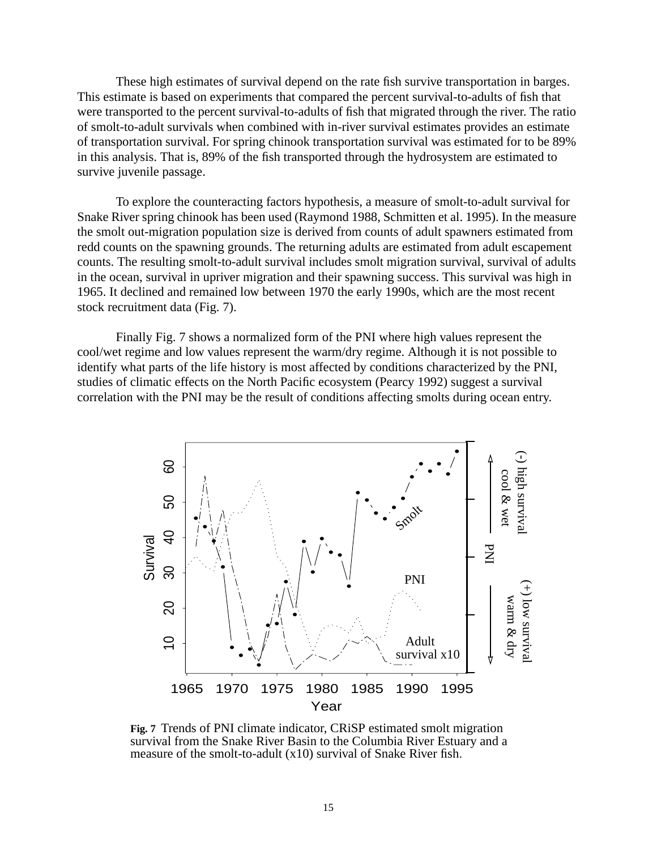These high estimates of survival depend on the rate fish survive transportation in barges. This estimate is based on experiments that compared the percent survival-to-adults of fish that were transported to the percent survival-to-adults of fish that migrated through the river. The ratio of smolt-to-adult survivals when combined with in-river survival estimates provides an estimate of transportation survival. For spring chinook transportation survival was estimated for to be 89% in this analysis. That is, 89% of the fish transported through the hydrosystem are estimated to survive juvenile passage.

To explore the counteracting factors hypothesis, a measure of smolt-to-adult survival for Snake River spring chinook has been used (Raymond 1988, Schmitten et al. 1995). In the measure the smolt out-migration population size is derived from counts of adult spawners estimated from redd counts on the spawning grounds. The returning adults are estimated from adult escapement counts. The resulting smolt-to-adult survival includes smolt migration survival, survival of adults in the ocean, survival in upriver migration and their spawning success. This survival was high in 1965. It declined and remained low between 1970 the early 1990s, which are the most recent stock recruitment data (Fig. 7).

Finally Fig. 7 shows a normalized form of the PNI where high values represent the cool/wet regime and low values represent the warm/dry regime. Although it is not possible to identify what parts of the life history is most affected by conditions characterized by the PNI, studies of climatic effects on the North Pacific ecosystem (Pearcy 1992) suggest a survival correlation with the PNI may be the result of conditions affecting smolts during ocean entry.



**Fig. 7** Trends of PNI climate indicator, CRiSP estimated smolt migration survival from the Snake River Basin to the Columbia River Estuary and a measure of the smolt-to-adult (x10) survival of Snake River fish.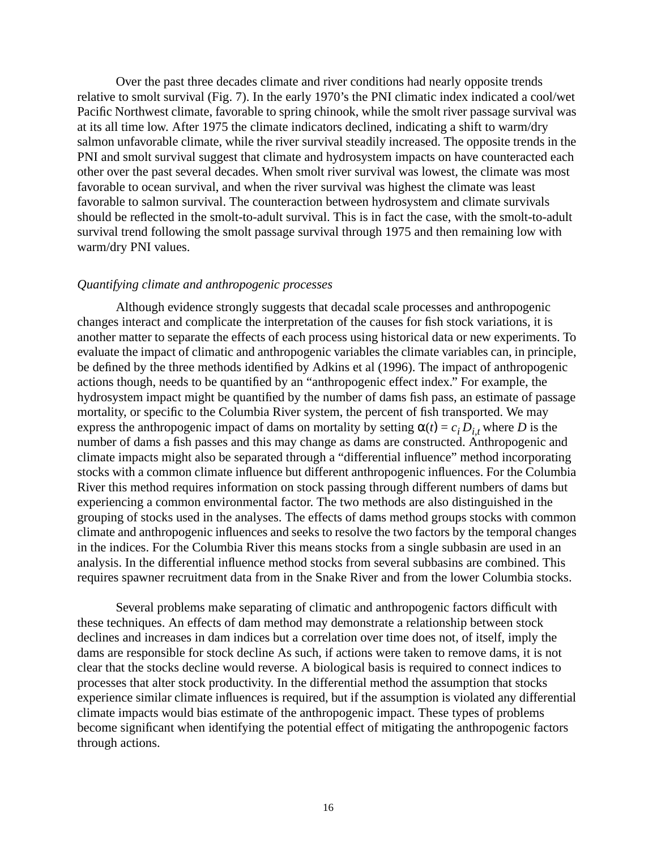Over the past three decades climate and river conditions had nearly opposite trends relative to smolt survival (Fig. 7). In the early 1970's the PNI climatic index indicated a cool/wet Pacific Northwest climate, favorable to spring chinook, while the smolt river passage survival was at its all time low. After 1975 the climate indicators declined, indicating a shift to warm/dry salmon unfavorable climate, while the river survival steadily increased. The opposite trends in the PNI and smolt survival suggest that climate and hydrosystem impacts on have counteracted each other over the past several decades. When smolt river survival was lowest, the climate was most favorable to ocean survival, and when the river survival was highest the climate was least favorable to salmon survival. The counteraction between hydrosystem and climate survivals should be reflected in the smolt-to-adult survival. This is in fact the case, with the smolt-to-adult survival trend following the smolt passage survival through 1975 and then remaining low with warm/dry PNI values.

### *Quantifying climate and anthropogenic processes*

Although evidence strongly suggests that decadal scale processes and anthropogenic changes interact and complicate the interpretation of the causes for fish stock variations, it is another matter to separate the effects of each process using historical data or new experiments. To evaluate the impact of climatic and anthropogenic variables the climate variables can, in principle, be defined by the three methods identified by Adkins et al (1996). The impact of anthropogenic actions though, needs to be quantified by an "anthropogenic effect index." For example, the hydrosystem impact might be quantified by the number of dams fish pass, an estimate of passage mortality, or specific to the Columbia River system, the percent of fish transported. We may express the anthropogenic impact of dams on mortality by setting  $\alpha(t) = c_i D_{i,t}$  where *D* is the number of dams a fish passes and this may change as dams are constructed. Anthropogenic and climate impacts might also be separated through a "differential influence" method incorporating stocks with a common climate influence but different anthropogenic influences. For the Columbia River this method requires information on stock passing through different numbers of dams but experiencing a common environmental factor. The two methods are also distinguished in the grouping of stocks used in the analyses. The effects of dams method groups stocks with common climate and anthropogenic influences and seeks to resolve the two factors by the temporal changes in the indices. For the Columbia River this means stocks from a single subbasin are used in an analysis. In the differential influence method stocks from several subbasins are combined. This requires spawner recruitment data from in the Snake River and from the lower Columbia stocks.

Several problems make separating of climatic and anthropogenic factors difficult with these techniques. An effects of dam method may demonstrate a relationship between stock declines and increases in dam indices but a correlation over time does not, of itself, imply the dams are responsible for stock decline As such, if actions were taken to remove dams, it is not clear that the stocks decline would reverse. A biological basis is required to connect indices to processes that alter stock productivity. In the differential method the assumption that stocks experience similar climate influences is required, but if the assumption is violated any differential climate impacts would bias estimate of the anthropogenic impact. These types of problems become significant when identifying the potential effect of mitigating the anthropogenic factors through actions.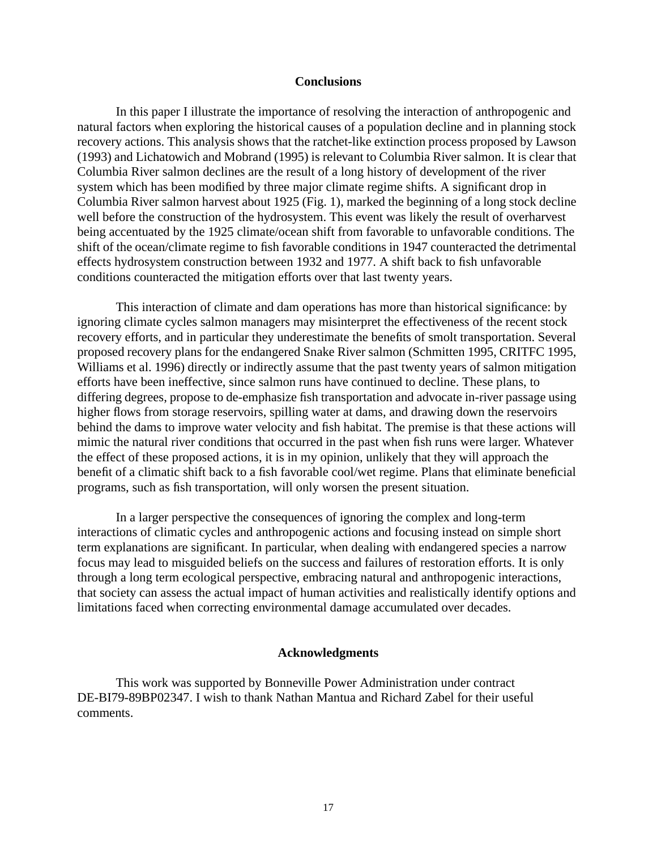## **Conclusions**

In this paper I illustrate the importance of resolving the interaction of anthropogenic and natural factors when exploring the historical causes of a population decline and in planning stock recovery actions. This analysis shows that the ratchet-like extinction process proposed by Lawson (1993) and Lichatowich and Mobrand (1995) is relevant to Columbia River salmon. It is clear that Columbia River salmon declines are the result of a long history of development of the river system which has been modified by three major climate regime shifts. A significant drop in Columbia River salmon harvest about 1925 (Fig. 1), marked the beginning of a long stock decline well before the construction of the hydrosystem. This event was likely the result of overharvest being accentuated by the 1925 climate/ocean shift from favorable to unfavorable conditions. The shift of the ocean/climate regime to fish favorable conditions in 1947 counteracted the detrimental effects hydrosystem construction between 1932 and 1977. A shift back to fish unfavorable conditions counteracted the mitigation efforts over that last twenty years.

This interaction of climate and dam operations has more than historical significance: by ignoring climate cycles salmon managers may misinterpret the effectiveness of the recent stock recovery efforts, and in particular they underestimate the benefits of smolt transportation. Several proposed recovery plans for the endangered Snake River salmon (Schmitten 1995, CRITFC 1995, Williams et al. 1996) directly or indirectly assume that the past twenty years of salmon mitigation efforts have been ineffective, since salmon runs have continued to decline. These plans, to differing degrees, propose to de-emphasize fish transportation and advocate in-river passage using higher flows from storage reservoirs, spilling water at dams, and drawing down the reservoirs behind the dams to improve water velocity and fish habitat. The premise is that these actions will mimic the natural river conditions that occurred in the past when fish runs were larger. Whatever the effect of these proposed actions, it is in my opinion, unlikely that they will approach the benefit of a climatic shift back to a fish favorable cool/wet regime. Plans that eliminate beneficial programs, such as fish transportation, will only worsen the present situation.

In a larger perspective the consequences of ignoring the complex and long-term interactions of climatic cycles and anthropogenic actions and focusing instead on simple short term explanations are significant. In particular, when dealing with endangered species a narrow focus may lead to misguided beliefs on the success and failures of restoration efforts. It is only through a long term ecological perspective, embracing natural and anthropogenic interactions, that society can assess the actual impact of human activities and realistically identify options and limitations faced when correcting environmental damage accumulated over decades.

## **Acknowledgments**

This work was supported by Bonneville Power Administration under contract DE-BI79-89BP02347. I wish to thank Nathan Mantua and Richard Zabel for their useful comments.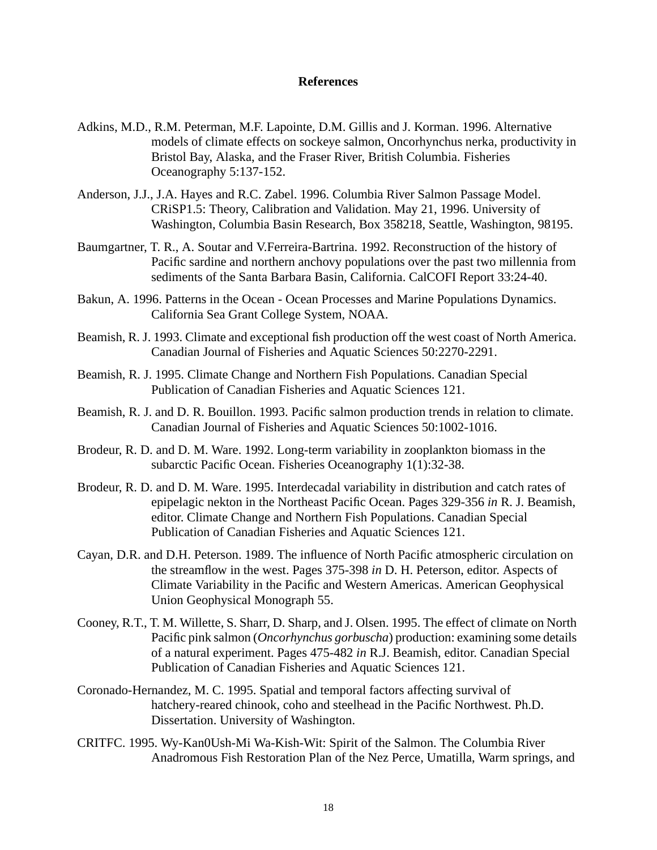# **References**

- Adkins, M.D., R.M. Peterman, M.F. Lapointe, D.M. Gillis and J. Korman. 1996. Alternative models of climate effects on sockeye salmon, Oncorhynchus nerka, productivity in Bristol Bay, Alaska, and the Fraser River, British Columbia. Fisheries Oceanography 5:137-152.
- Anderson, J.J., J.A. Hayes and R.C. Zabel. 1996. Columbia River Salmon Passage Model. CRiSP1.5: Theory, Calibration and Validation. May 21, 1996. University of Washington, Columbia Basin Research, Box 358218, Seattle, Washington, 98195.
- Baumgartner, T. R., A. Soutar and V.Ferreira-Bartrina. 1992. Reconstruction of the history of Pacific sardine and northern anchovy populations over the past two millennia from sediments of the Santa Barbara Basin, California. CalCOFI Report 33:24-40.
- Bakun, A. 1996. Patterns in the Ocean Ocean Processes and Marine Populations Dynamics. California Sea Grant College System, NOAA.
- Beamish, R. J. 1993. Climate and exceptional fish production off the west coast of North America. Canadian Journal of Fisheries and Aquatic Sciences 50:2270-2291.
- Beamish, R. J. 1995. Climate Change and Northern Fish Populations. Canadian Special Publication of Canadian Fisheries and Aquatic Sciences 121.
- Beamish, R. J. and D. R. Bouillon. 1993. Pacific salmon production trends in relation to climate. Canadian Journal of Fisheries and Aquatic Sciences 50:1002-1016.
- Brodeur, R. D. and D. M. Ware. 1992. Long-term variability in zooplankton biomass in the subarctic Pacific Ocean. Fisheries Oceanography 1(1):32-38.
- Brodeur, R. D. and D. M. Ware. 1995. Interdecadal variability in distribution and catch rates of epipelagic nekton in the Northeast Pacific Ocean. Pages 329-356 *in* R. J. Beamish, editor. Climate Change and Northern Fish Populations. Canadian Special Publication of Canadian Fisheries and Aquatic Sciences 121.
- Cayan, D.R. and D.H. Peterson. 1989. The influence of North Pacific atmospheric circulation on the streamflow in the west. Pages 375-398 *in* D. H. Peterson, editor. Aspects of Climate Variability in the Pacific and Western Americas. American Geophysical Union Geophysical Monograph 55.
- Cooney, R.T., T. M. Willette, S. Sharr, D. Sharp, and J. Olsen. 1995. The effect of climate on North Pacific pink salmon (*Oncorhynchus gorbuscha*) production: examining some details of a natural experiment. Pages 475-482 *in* R.J. Beamish, editor. Canadian Special Publication of Canadian Fisheries and Aquatic Sciences 121.
- Coronado-Hernandez, M. C. 1995. Spatial and temporal factors affecting survival of hatchery-reared chinook, coho and steelhead in the Pacific Northwest. Ph.D. Dissertation. University of Washington.
- CRITFC. 1995. Wy-Kan0Ush-Mi Wa-Kish-Wit: Spirit of the Salmon. The Columbia River Anadromous Fish Restoration Plan of the Nez Perce, Umatilla, Warm springs, and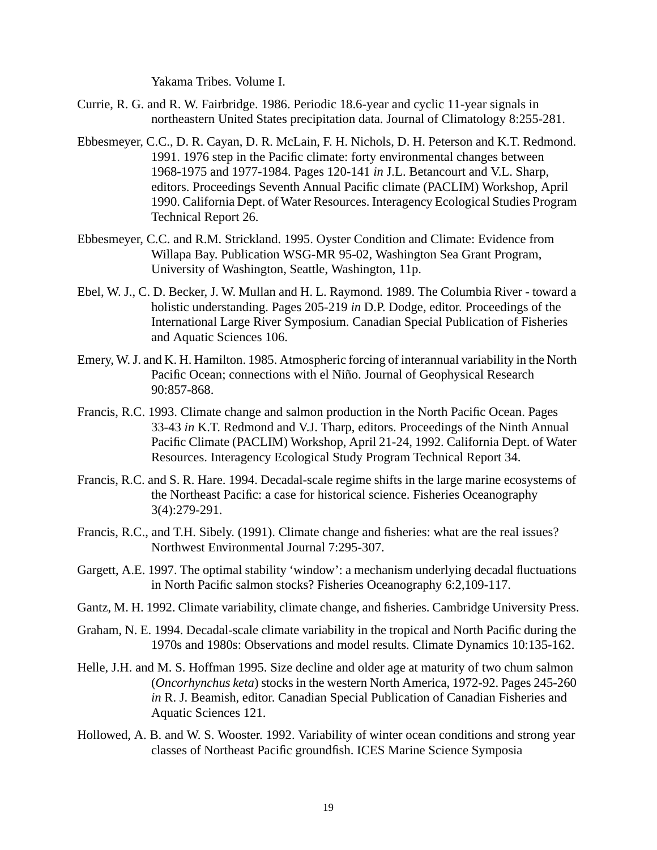Yakama Tribes. Volume I.

- Currie, R. G. and R. W. Fairbridge. 1986. Periodic 18.6-year and cyclic 11-year signals in northeastern United States precipitation data. Journal of Climatology 8:255-281.
- Ebbesmeyer, C.C., D. R. Cayan, D. R. McLain, F. H. Nichols, D. H. Peterson and K.T. Redmond. 1991. 1976 step in the Pacific climate: forty environmental changes between 1968-1975 and 1977-1984. Pages 120-141 *in* J.L. Betancourt and V.L. Sharp, editors. Proceedings Seventh Annual Pacific climate (PACLIM) Workshop, April 1990. California Dept. of Water Resources. Interagency Ecological Studies Program Technical Report 26.
- Ebbesmeyer, C.C. and R.M. Strickland. 1995. Oyster Condition and Climate: Evidence from Willapa Bay. Publication WSG-MR 95-02, Washington Sea Grant Program, University of Washington, Seattle, Washington, 11p.
- Ebel, W. J., C. D. Becker, J. W. Mullan and H. L. Raymond. 1989. The Columbia River toward a holistic understanding. Pages 205-219 *in* D.P. Dodge, editor. Proceedings of the International Large River Symposium. Canadian Special Publication of Fisheries and Aquatic Sciences 106.
- Emery, W. J. and K. H. Hamilton. 1985. Atmospheric forcing of interannual variability in the North Pacific Ocean; connections with el Niño. Journal of Geophysical Research 90:857-868.
- Francis, R.C. 1993. Climate change and salmon production in the North Pacific Ocean. Pages 33-43 *in* K.T. Redmond and V.J. Tharp, editors. Proceedings of the Ninth Annual Pacific Climate (PACLIM) Workshop, April 21-24, 1992. California Dept. of Water Resources. Interagency Ecological Study Program Technical Report 34.
- Francis, R.C. and S. R. Hare. 1994. Decadal-scale regime shifts in the large marine ecosystems of the Northeast Pacific: a case for historical science. Fisheries Oceanography 3(4):279-291.
- Francis, R.C., and T.H. Sibely. (1991). Climate change and fisheries: what are the real issues? Northwest Environmental Journal 7:295-307.
- Gargett, A.E. 1997. The optimal stability 'window': a mechanism underlying decadal fluctuations in North Pacific salmon stocks? Fisheries Oceanography 6:2,109-117.
- Gantz, M. H. 1992. Climate variability, climate change, and fisheries. Cambridge University Press.
- Graham, N. E. 1994. Decadal-scale climate variability in the tropical and North Pacific during the 1970s and 1980s: Observations and model results. Climate Dynamics 10:135-162.
- Helle, J.H. and M. S. Hoffman 1995. Size decline and older age at maturity of two chum salmon (*Oncorhynchus keta*) stocks in the western North America, 1972-92. Pages 245-260 *in* R. J. Beamish, editor. Canadian Special Publication of Canadian Fisheries and Aquatic Sciences 121.
- Hollowed, A. B. and W. S. Wooster. 1992. Variability of winter ocean conditions and strong year classes of Northeast Pacific groundfish. ICES Marine Science Symposia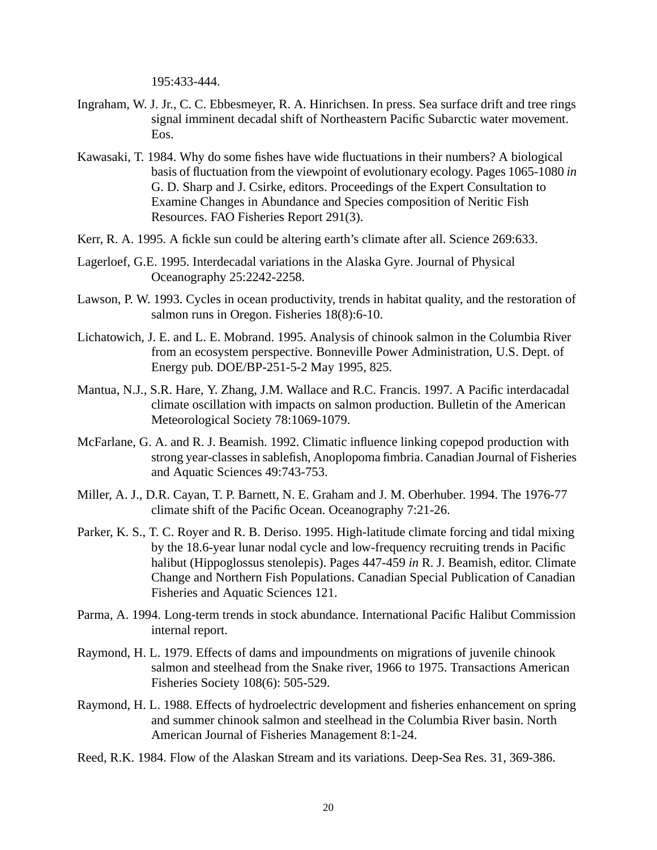195:433-444.

- Ingraham, W. J. Jr., C. C. Ebbesmeyer, R. A. Hinrichsen. In press. Sea surface drift and tree rings signal imminent decadal shift of Northeastern Pacific Subarctic water movement. Eos.
- Kawasaki, T. 1984. Why do some fishes have wide fluctuations in their numbers? A biological basis of fluctuation from the viewpoint of evolutionary ecology. Pages 1065-1080 *in* G. D. Sharp and J. Csirke, editors. Proceedings of the Expert Consultation to Examine Changes in Abundance and Species composition of Neritic Fish Resources. FAO Fisheries Report 291(3).
- Kerr, R. A. 1995. A fickle sun could be altering earth's climate after all. Science 269:633.
- Lagerloef, G.E. 1995. Interdecadal variations in the Alaska Gyre. Journal of Physical Oceanography 25:2242-2258.
- Lawson, P. W. 1993. Cycles in ocean productivity, trends in habitat quality, and the restoration of salmon runs in Oregon. Fisheries 18(8):6-10.
- Lichatowich, J. E. and L. E. Mobrand. 1995. Analysis of chinook salmon in the Columbia River from an ecosystem perspective. Bonneville Power Administration, U.S. Dept. of Energy pub. DOE/BP-251-5-2 May 1995, 825.
- Mantua, N.J., S.R. Hare, Y. Zhang, J.M. Wallace and R.C. Francis. 1997. A Pacific interdacadal climate oscillation with impacts on salmon production. Bulletin of the American Meteorological Society 78:1069-1079.
- McFarlane, G. A. and R. J. Beamish. 1992. Climatic influence linking copepod production with strong year-classes in sablefish, Anoplopoma fimbria. Canadian Journal of Fisheries and Aquatic Sciences 49:743-753.
- Miller, A. J., D.R. Cayan, T. P. Barnett, N. E. Graham and J. M. Oberhuber. 1994. The 1976-77 climate shift of the Pacific Ocean. Oceanography 7:21-26.
- Parker, K. S., T. C. Royer and R. B. Deriso. 1995. High-latitude climate forcing and tidal mixing by the 18.6-year lunar nodal cycle and low-frequency recruiting trends in Pacific halibut (Hippoglossus stenolepis). Pages 447-459 *in* R. J. Beamish, editor. Climate Change and Northern Fish Populations. Canadian Special Publication of Canadian Fisheries and Aquatic Sciences 121.
- Parma, A. 1994. Long-term trends in stock abundance. International Pacific Halibut Commission internal report.
- Raymond, H. L. 1979. Effects of dams and impoundments on migrations of juvenile chinook salmon and steelhead from the Snake river, 1966 to 1975. Transactions American Fisheries Society 108(6): 505-529.
- Raymond, H. L. 1988. Effects of hydroelectric development and fisheries enhancement on spring and summer chinook salmon and steelhead in the Columbia River basin. North American Journal of Fisheries Management 8:1-24.
- Reed, R.K. 1984. Flow of the Alaskan Stream and its variations. Deep-Sea Res. 31, 369-386.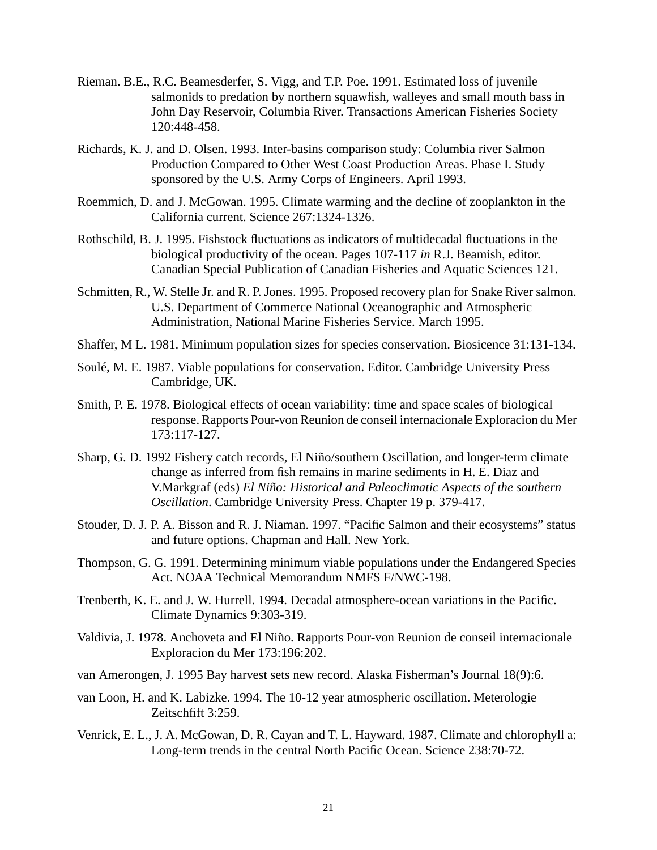- Rieman. B.E., R.C. Beamesderfer, S. Vigg, and T.P. Poe. 1991. Estimated loss of juvenile salmonids to predation by northern squawfish, walleyes and small mouth bass in John Day Reservoir, Columbia River. Transactions American Fisheries Society 120:448-458.
- Richards, K. J. and D. Olsen. 1993. Inter-basins comparison study: Columbia river Salmon Production Compared to Other West Coast Production Areas. Phase I. Study sponsored by the U.S. Army Corps of Engineers. April 1993.
- Roemmich, D. and J. McGowan. 1995. Climate warming and the decline of zooplankton in the California current. Science 267:1324-1326.
- Rothschild, B. J. 1995. Fishstock fluctuations as indicators of multidecadal fluctuations in the biological productivity of the ocean. Pages 107-117 *in* R.J. Beamish, editor. Canadian Special Publication of Canadian Fisheries and Aquatic Sciences 121.
- Schmitten, R., W. Stelle Jr. and R. P. Jones. 1995. Proposed recovery plan for Snake River salmon. U.S. Department of Commerce National Oceanographic and Atmospheric Administration, National Marine Fisheries Service. March 1995.
- Shaffer, M L. 1981. Minimum population sizes for species conservation. Biosicence 31:131-134.
- Soulé, M. E. 1987. Viable populations for conservation. Editor. Cambridge University Press Cambridge, UK.
- Smith, P. E. 1978. Biological effects of ocean variability: time and space scales of biological response. Rapports Pour-von Reunion de conseil internacionale Exploracion du Mer 173:117-127.
- Sharp, G. D. 1992 Fishery catch records, El Niño/southern Oscillation, and longer-term climate change as inferred from fish remains in marine sediments in H. E. Diaz and V.Markgraf (eds) *El Niño: Historical and Paleoclimatic Aspects of the southern Oscillation*. Cambridge University Press. Chapter 19 p. 379-417.
- Stouder, D. J. P. A. Bisson and R. J. Niaman. 1997. "Pacific Salmon and their ecosystems" status and future options. Chapman and Hall. New York.
- Thompson, G. G. 1991. Determining minimum viable populations under the Endangered Species Act. NOAA Technical Memorandum NMFS F/NWC-198.
- Trenberth, K. E. and J. W. Hurrell. 1994. Decadal atmosphere-ocean variations in the Pacific. Climate Dynamics 9:303-319.
- Valdivia, J. 1978. Anchoveta and El Niño. Rapports Pour-von Reunion de conseil internacionale Exploracion du Mer 173:196:202.
- van Amerongen, J. 1995 Bay harvest sets new record. Alaska Fisherman's Journal 18(9):6.
- van Loon, H. and K. Labizke. 1994. The 10-12 year atmospheric oscillation. Meterologie Zeitschfift 3:259.
- Venrick, E. L., J. A. McGowan, D. R. Cayan and T. L. Hayward. 1987. Climate and chlorophyll a: Long-term trends in the central North Pacific Ocean. Science 238:70-72.